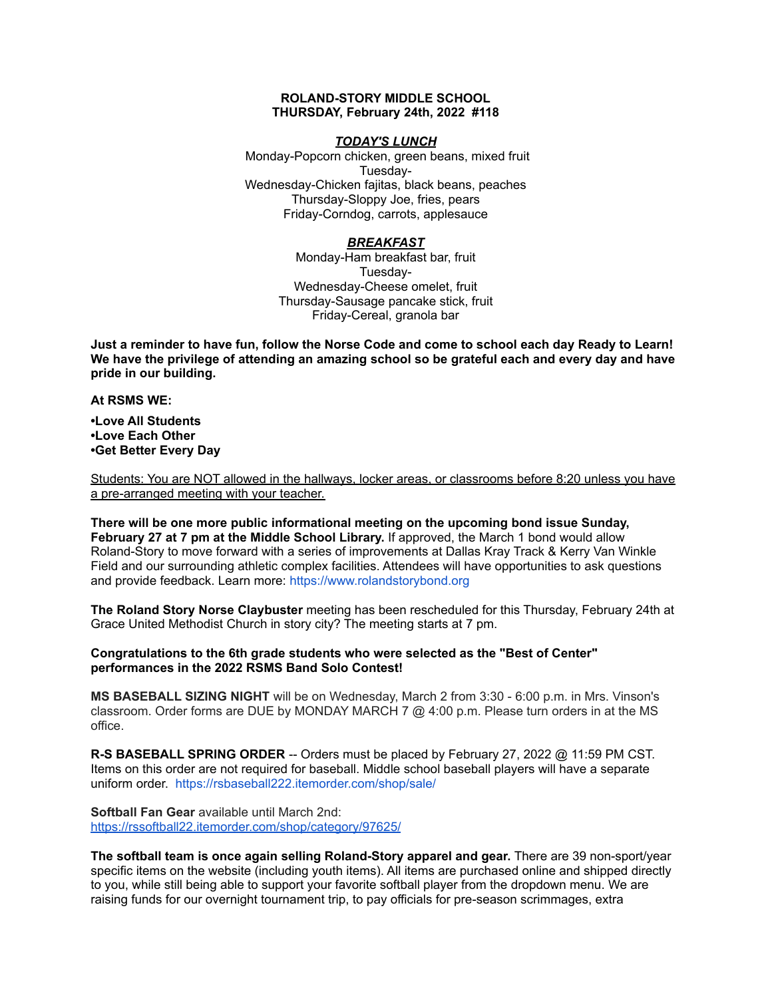## **ROLAND-STORY MIDDLE SCHOOL THURSDAY, February 24th, 2022 #118**

## *TODAY'S LUNCH*

Monday-Popcorn chicken, green beans, mixed fruit Tuesday-Wednesday-Chicken fajitas, black beans, peaches Thursday-Sloppy Joe, fries, pears Friday-Corndog, carrots, applesauce

# *BREAKFAST*

Monday-Ham breakfast bar, fruit Tuesday-Wednesday-Cheese omelet, fruit Thursday-Sausage pancake stick, fruit Friday-Cereal, granola bar

Just a reminder to have fun, follow the Norse Code and come to school each day Ready to Learn! **We have the privilege of attending an amazing school so be grateful each and every day and have pride in our building.**

**At RSMS WE:**

**•Love All Students •Love Each Other •Get Better Every Day**

Students: You are NOT allowed in the hallways, locker areas, or classrooms before 8:20 unless you have a pre-arranged meeting with your teacher.

**There will be one more public informational meeting on the upcoming bond issue Sunday, February 27 at 7 pm at the Middle School Library.** If approved, the March 1 bond would allow Roland-Story to move forward with a series of improvements at Dallas Kray Track & Kerry Van Winkle Field and our surrounding athletic complex facilities. Attendees will have opportunities to ask questions and provide feedback. Learn more: [https://www.rolandstorybond.org](https://www.rolandstorybond.org/?fbclid=IwAR3AJHhy8S8KvQsof-Z44UTrIBXDkOZFSdMyUXMovrg0bH3FkvkTprNkFuM)

**The Roland Story Norse Claybuster** meeting has been rescheduled for this Thursday, February 24th at Grace United Methodist Church in story city? The meeting starts at 7 pm.

**Congratulations to the 6th grade students who were selected as the "Best of Center" performances in the 2022 RSMS Band Solo Contest!**

**MS BASEBALL SIZING NIGHT** will be on Wednesday, March 2 from 3:30 - 6:00 p.m. in Mrs. Vinson's classroom. Order forms are DUE by MONDAY MARCH 7 @ 4:00 p.m. Please turn orders in at the MS office.

**R-S BASEBALL SPRING ORDER** -- Orders must be placed by February 27, 2022 @ 11:59 PM CST. Items on this order are not required for baseball. Middle school baseball players will have a separate uniform order. [https://rsbaseball222.itemorder.com/shop/sale/](https://rsbaseball222.itemorder.com/shop/sale/?fbclid=IwAR3WcViWXzf68ou_l8uvs5OLDLG0OdEOthvolsBQsnAZHaEWjSG5OjbhhEE)

**Softball Fan Gear** available until March 2nd: <https://rssoftball22.itemorder.com/shop/category/97625/>

**The softball team is once again selling Roland-Story apparel and gear.** There are 39 non-sport/year specific items on the website (including youth items). All items are purchased online and shipped directly to you, while still being able to support your favorite softball player from the dropdown menu. We are raising funds for our overnight tournament trip, to pay officials for pre-season scrimmages, extra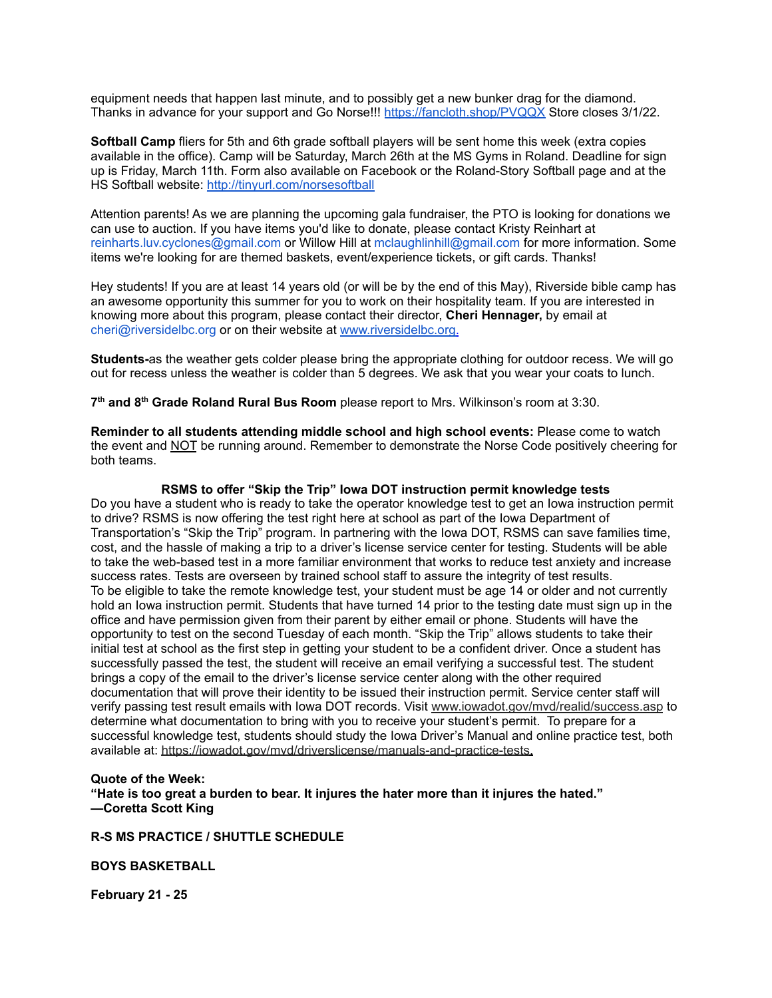equipment needs that happen last minute, and to possibly get a new bunker drag for the diamond. Thanks in advance for your support and Go Norse!!! <https://fancloth.shop/PVQQX> Store closes 3/1/22.

**Softball Camp** fliers for 5th and 6th grade softball players will be sent home this week (extra copies available in the office). Camp will be Saturday, March 26th at the MS Gyms in Roland. Deadline for sign up is Friday, March 11th. Form also available on Facebook or the Roland-Story Softball page and at the HS Softball website: <http://tinyurl.com/norsesoftball>

Attention parents! As we are planning the upcoming gala fundraiser, the PTO is looking for donations we can use to auction. If you have items you'd like to donate, please contact Kristy Reinhart at reinharts.luv.cyclones@gmail.com or Willow Hill at mclaughlinhill@gmail.com for more information. Some items we're looking for are themed baskets, event/experience tickets, or gift cards. Thanks!

Hey students! If you are at least 14 years old (or will be by the end of this May), Riverside bible camp has an awesome opportunity this summer for you to work on their hospitality team. If you are interested in knowing more about this program, please contact their director, **Cheri Hennager,** by email at cheri@riversidelbc.org or on their website at [www.riversidelbc.org.](http://www.riversidelbc.org/)

**Students-**as the weather gets colder please bring the appropriate clothing for outdoor recess. We will go out for recess unless the weather is colder than 5 degrees. We ask that you wear your coats to lunch.

**7 th and 8 th Grade Roland Rural Bus Room** please report to Mrs. Wilkinson's room at 3:30.

**Reminder to all students attending middle school and high school events:** Please come to watch the event and NOT be running around. Remember to demonstrate the Norse Code positively cheering for both teams.

### **RSMS to offer "Skip the Trip" Iowa DOT instruction permit knowledge tests**

Do you have a student who is ready to take the operator knowledge test to get an Iowa instruction permit to drive? RSMS is now offering the test right here at school as part of the Iowa Department of Transportation's "Skip the Trip" program. In partnering with the Iowa DOT, RSMS can save families time, cost, and the hassle of making a trip to a driver's license service center for testing. Students will be able to take the web-based test in a more familiar environment that works to reduce test anxiety and increase success rates. Tests are overseen by trained school staff to assure the integrity of test results. To be eligible to take the remote knowledge test, your student must be age 14 or older and not currently hold an Iowa instruction permit. Students that have turned 14 prior to the testing date must sign up in the office and have permission given from their parent by either email or phone. Students will have the opportunity to test on the second Tuesday of each month. "Skip the Trip" allows students to take their initial test at school as the first step in getting your student to be a confident driver. Once a student has successfully passed the test, the student will receive an email verifying a successful test. The student brings a copy of the email to the driver's license service center along with the other required documentation that will prove their identity to be issued their instruction permit. Service center staff will verify passing test result emails with Iowa DOT records. Visit [www.iowadot.gov/mvd/realid/success.asp](http://www.iowadot.gov/mvd/realid/success.asp) to determine what documentation to bring with you to receive your student's permit. To prepare for a successful knowledge test, students should study the Iowa Driver's Manual and online practice test, both available at: <https://iowadot.gov/mvd/driverslicense/manuals-and-practice-tests>.

#### **Quote of the Week:**

**"Hate is too great a burden to bear. It injures the hater more than it injures the hated." —Coretta Scott King**

#### **R-S MS PRACTICE / SHUTTLE SCHEDULE**

# **BOYS BASKETBALL**

**February 21 - 25**